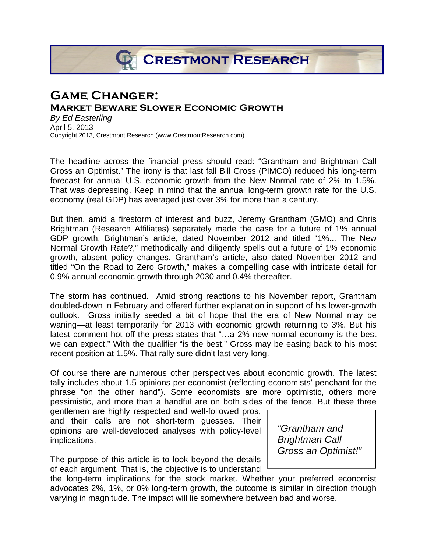**Crestmont Research** 

## **Game Changer:**

**Market Beware Slower Economic Growth** 

*By Ed Easterling*  April 5, 2013 Copyright 2013, Crestmont Research (www.CrestmontResearch.com)

The headline across the financial press should read: "Grantham and Brightman Call Gross an Optimist." The irony is that last fall Bill Gross (PIMCO) reduced his long-term forecast for annual U.S. economic growth from the New Normal rate of 2% to 1.5%. That was depressing. Keep in mind that the annual long-term growth rate for the U.S. economy (real GDP) has averaged just over 3% for more than a century.

But then, amid a firestorm of interest and buzz, Jeremy Grantham (GMO) and Chris Brightman (Research Affiliates) separately made the case for a future of 1% annual GDP growth. Brightman's article, dated November 2012 and titled "1%... The New Normal Growth Rate?," methodically and diligently spells out a future of 1% economic growth, absent policy changes. Grantham's article, also dated November 2012 and titled "On the Road to Zero Growth," makes a compelling case with intricate detail for 0.9% annual economic growth through 2030 and 0.4% thereafter.

The storm has continued. Amid strong reactions to his November report, Grantham doubled-down in February and offered further explanation in support of his lower-growth outlook. Gross initially seeded a bit of hope that the era of New Normal may be waning—at least temporarily for 2013 with economic growth returning to 3%. But his latest comment hot off the press states that "…a 2% new normal economy is the best we can expect." With the qualifier "is the best," Gross may be easing back to his most recent position at 1.5%. That rally sure didn't last very long.

Of course there are numerous other perspectives about economic growth. The latest tally includes about 1.5 opinions per economist (reflecting economists' penchant for the phrase "on the other hand"). Some economists are more optimistic, others more pessimistic, and more than a handful are on both sides of the fence. But these three

gentlemen are highly respected and well-followed pros, and their calls are not short-term guesses. Their opinions are well-developed analyses with policy-level implications.

The purpose of this article is to look beyond the details of each argument. That is, the objective is to understand

*"Grantham and Brightman Call Gross an Optimist!"* 

the long-term implications for the stock market. Whether your preferred economist advocates 2%, 1%, or 0% long-term growth, the outcome is similar in direction though varying in magnitude. The impact will lie somewhere between bad and worse.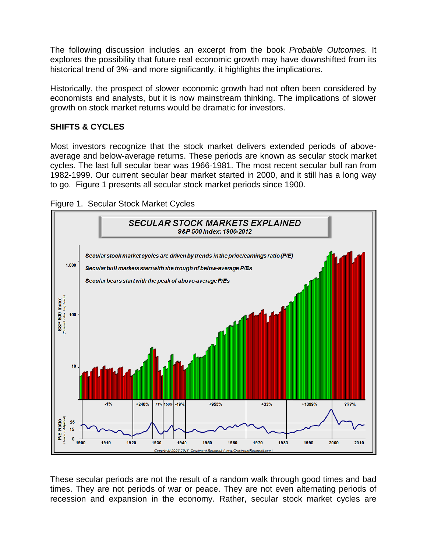The following discussion includes an excerpt from the book *Probable Outcomes.* It explores the possibility that future real economic growth may have downshifted from its historical trend of 3%–and more significantly, it highlights the implications.

Historically, the prospect of slower economic growth had not often been considered by economists and analysts, but it is now mainstream thinking. The implications of slower growth on stock market returns would be dramatic for investors.

## **SHIFTS & CYCLES**

Most investors recognize that the stock market delivers extended periods of aboveaverage and below-average returns. These periods are known as secular stock market cycles. The last full secular bear was 1966-1981. The most recent secular bull ran from 1982-1999. Our current secular bear market started in 2000, and it still has a long way to go. Figure 1 presents all secular stock market periods since 1900.





These secular periods are not the result of a random walk through good times and bad times. They are not periods of war or peace. They are not even alternating periods of recession and expansion in the economy. Rather, secular stock market cycles are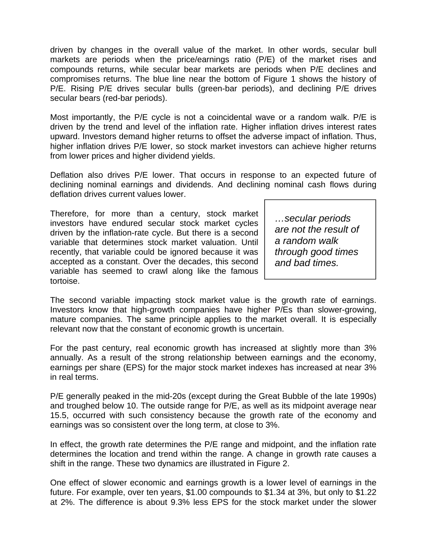driven by changes in the overall value of the market. In other words, secular bull markets are periods when the price/earnings ratio (P/E) of the market rises and compounds returns, while secular bear markets are periods when P/E declines and compromises returns. The blue line near the bottom of Figure 1 shows the history of P/E. Rising P/E drives secular bulls (green-bar periods), and declining P/E drives secular bears (red-bar periods).

Most importantly, the P/E cycle is not a coincidental wave or a random walk. P/E is driven by the trend and level of the inflation rate. Higher inflation drives interest rates upward. Investors demand higher returns to offset the adverse impact of inflation. Thus, higher inflation drives P/E lower, so stock market investors can achieve higher returns from lower prices and higher dividend yields.

Deflation also drives P/E lower. That occurs in response to an expected future of declining nominal earnings and dividends. And declining nominal cash flows during deflation drives current values lower.

Therefore, for more than a century, stock market investors have endured secular stock market cycles driven by the inflation-rate cycle. But there is a second variable that determines stock market valuation. Until recently, that variable could be ignored because it was accepted as a constant. Over the decades, this second variable has seemed to crawl along like the famous tortoise.

*…secular periods are not the result of a random walk through good times and bad times.* 

The second variable impacting stock market value is the growth rate of earnings. Investors know that high-growth companies have higher P/Es than slower-growing, mature companies. The same principle applies to the market overall. It is especially relevant now that the constant of economic growth is uncertain.

For the past century, real economic growth has increased at slightly more than 3% annually. As a result of the strong relationship between earnings and the economy, earnings per share (EPS) for the major stock market indexes has increased at near 3% in real terms.

P/E generally peaked in the mid-20s (except during the Great Bubble of the late 1990s) and troughed below 10. The outside range for P/E, as well as its midpoint average near 15.5, occurred with such consistency because the growth rate of the economy and earnings was so consistent over the long term, at close to 3%.

In effect, the growth rate determines the P/E range and midpoint, and the inflation rate determines the location and trend within the range. A change in growth rate causes a shift in the range. These two dynamics are illustrated in Figure 2.

One effect of slower economic and earnings growth is a lower level of earnings in the future. For example, over ten years, \$1.00 compounds to \$1.34 at 3%, but only to \$1.22 at 2%. The difference is about 9.3% less EPS for the stock market under the slower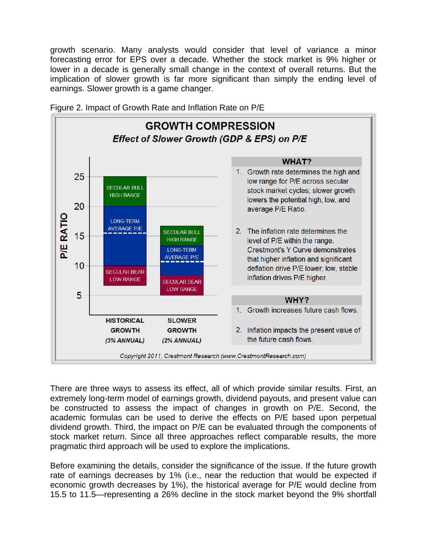growth scenario. Many analysts would consider that level of variance a minor forecasting error for EPS over a decade. Whether the stock market is 9% higher or lower in a decade is generally small change in the context of overall returns. But the implication of slower growth is far more significant than simply the ending level of earnings. Slower growth is a game changer.



Figure 2. Impact of Growth Rate and Inflation Rate on P/E

There are three ways to assess its effect, all of which provide similar results. First, an extremely long-term model of earnings growth, dividend payouts, and present value can be constructed to assess the impact of changes in growth on P/E. Second, the academic formulas can be used to derive the effects on P/E based upon perpetual dividend growth. Third, the impact on P/E can be evaluated through the components of stock market return. Since all three approaches reflect comparable results, the more pragmatic third approach will be used to explore the implications.

Before examining the details, consider the significance of the issue. If the future growth rate of earnings decreases by 1% (i.e., near the reduction that would be expected if economic growth decreases by 1%), the historical average for P/E would decline from 15.5 to 11.5—representing a 26% decline in the stock market beyond the 9% shortfall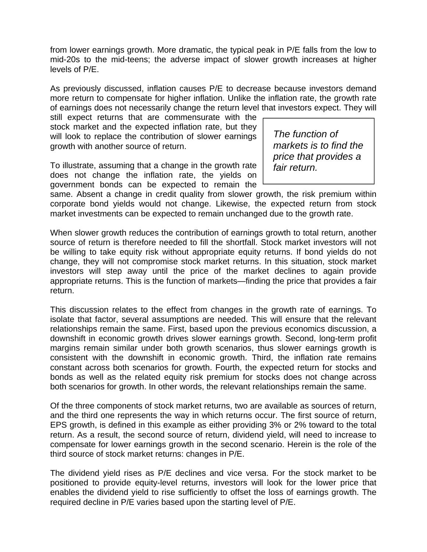from lower earnings growth. More dramatic, the typical peak in P/E falls from the low to mid-20s to the mid-teens; the adverse impact of slower growth increases at higher levels of P/E.

As previously discussed, inflation causes P/E to decrease because investors demand more return to compensate for higher inflation. Unlike the inflation rate, the growth rate of earnings does not necessarily change the return level that investors expect. They will

still expect returns that are commensurate with the stock market and the expected inflation rate, but they will look to replace the contribution of slower earnings growth with another source of return.

To illustrate, assuming that a change in the growth rate does not change the inflation rate, the yields on government bonds can be expected to remain the

*The function of markets is to find the price that provides a fair return.* 

same. Absent a change in credit quality from slower growth, the risk premium within corporate bond yields would not change. Likewise, the expected return from stock market investments can be expected to remain unchanged due to the growth rate.

When slower growth reduces the contribution of earnings growth to total return, another source of return is therefore needed to fill the shortfall. Stock market investors will not be willing to take equity risk without appropriate equity returns. If bond yields do not change, they will not compromise stock market returns. In this situation, stock market investors will step away until the price of the market declines to again provide appropriate returns. This is the function of markets—finding the price that provides a fair return.

This discussion relates to the effect from changes in the growth rate of earnings. To isolate that factor, several assumptions are needed. This will ensure that the relevant relationships remain the same. First, based upon the previous economics discussion, a downshift in economic growth drives slower earnings growth. Second, long-term profit margins remain similar under both growth scenarios, thus slower earnings growth is consistent with the downshift in economic growth. Third, the inflation rate remains constant across both scenarios for growth. Fourth, the expected return for stocks and bonds as well as the related equity risk premium for stocks does not change across both scenarios for growth. In other words, the relevant relationships remain the same.

Of the three components of stock market returns, two are available as sources of return, and the third one represents the way in which returns occur. The first source of return, EPS growth, is defined in this example as either providing 3% or 2% toward to the total return. As a result, the second source of return, dividend yield, will need to increase to compensate for lower earnings growth in the second scenario. Herein is the role of the third source of stock market returns: changes in P/E.

The dividend yield rises as P/E declines and vice versa. For the stock market to be positioned to provide equity-level returns, investors will look for the lower price that enables the dividend yield to rise sufficiently to offset the loss of earnings growth. The required decline in P/E varies based upon the starting level of P/E.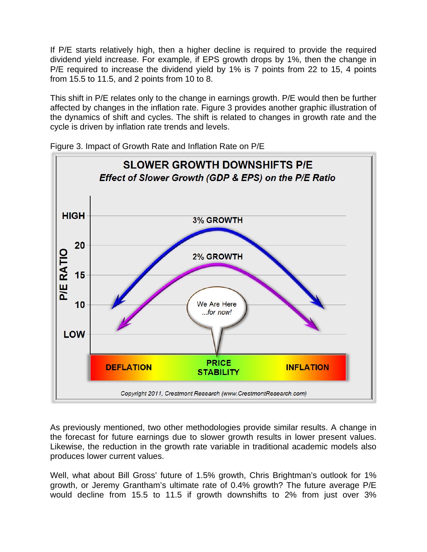If P/E starts relatively high, then a higher decline is required to provide the required dividend yield increase. For example, if EPS growth drops by 1%, then the change in P/E required to increase the dividend yield by 1% is 7 points from 22 to 15, 4 points from 15.5 to 11.5, and 2 points from 10 to 8.

This shift in P/E relates only to the change in earnings growth. P/E would then be further affected by changes in the inflation rate. Figure 3 provides another graphic illustration of the dynamics of shift and cycles. The shift is related to changes in growth rate and the cycle is driven by inflation rate trends and levels.



Figure 3. Impact of Growth Rate and Inflation Rate on P/E

As previously mentioned, two other methodologies provide similar results. A change in the forecast for future earnings due to slower growth results in lower present values. Likewise, the reduction in the growth rate variable in traditional academic models also produces lower current values.

Well, what about Bill Gross' future of 1.5% growth, Chris Brightman's outlook for 1% growth, or Jeremy Grantham's ultimate rate of 0.4% growth? The future average P/E would decline from 15.5 to 11.5 if growth downshifts to 2% from just over 3%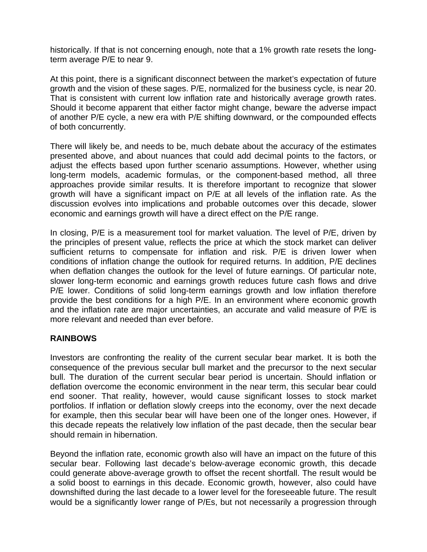historically. If that is not concerning enough, note that a 1% growth rate resets the longterm average P/E to near 9.

At this point, there is a significant disconnect between the market's expectation of future growth and the vision of these sages. P/E, normalized for the business cycle, is near 20. That is consistent with current low inflation rate and historically average growth rates. Should it become apparent that either factor might change, beware the adverse impact of another P/E cycle, a new era with P/E shifting downward, or the compounded effects of both concurrently.

There will likely be, and needs to be, much debate about the accuracy of the estimates presented above, and about nuances that could add decimal points to the factors, or adjust the effects based upon further scenario assumptions. However, whether using long-term models, academic formulas, or the component-based method, all three approaches provide similar results. It is therefore important to recognize that slower growth will have a significant impact on P/E at all levels of the inflation rate. As the discussion evolves into implications and probable outcomes over this decade, slower economic and earnings growth will have a direct effect on the P/E range.

In closing, P/E is a measurement tool for market valuation. The level of P/E, driven by the principles of present value, reflects the price at which the stock market can deliver sufficient returns to compensate for inflation and risk. P/E is driven lower when conditions of inflation change the outlook for required returns. In addition, P/E declines when deflation changes the outlook for the level of future earnings. Of particular note, slower long-term economic and earnings growth reduces future cash flows and drive P/E lower. Conditions of solid long-term earnings growth and low inflation therefore provide the best conditions for a high P/E. In an environment where economic growth and the inflation rate are major uncertainties, an accurate and valid measure of P/E is more relevant and needed than ever before.

## **RAINBOWS**

Investors are confronting the reality of the current secular bear market. It is both the consequence of the previous secular bull market and the precursor to the next secular bull. The duration of the current secular bear period is uncertain. Should inflation or deflation overcome the economic environment in the near term, this secular bear could end sooner. That reality, however, would cause significant losses to stock market portfolios. If inflation or deflation slowly creeps into the economy, over the next decade for example, then this secular bear will have been one of the longer ones. However, if this decade repeats the relatively low inflation of the past decade, then the secular bear should remain in hibernation.

Beyond the inflation rate, economic growth also will have an impact on the future of this secular bear. Following last decade's below-average economic growth, this decade could generate above-average growth to offset the recent shortfall. The result would be a solid boost to earnings in this decade. Economic growth, however, also could have downshifted during the last decade to a lower level for the foreseeable future. The result would be a significantly lower range of P/Es, but not necessarily a progression through